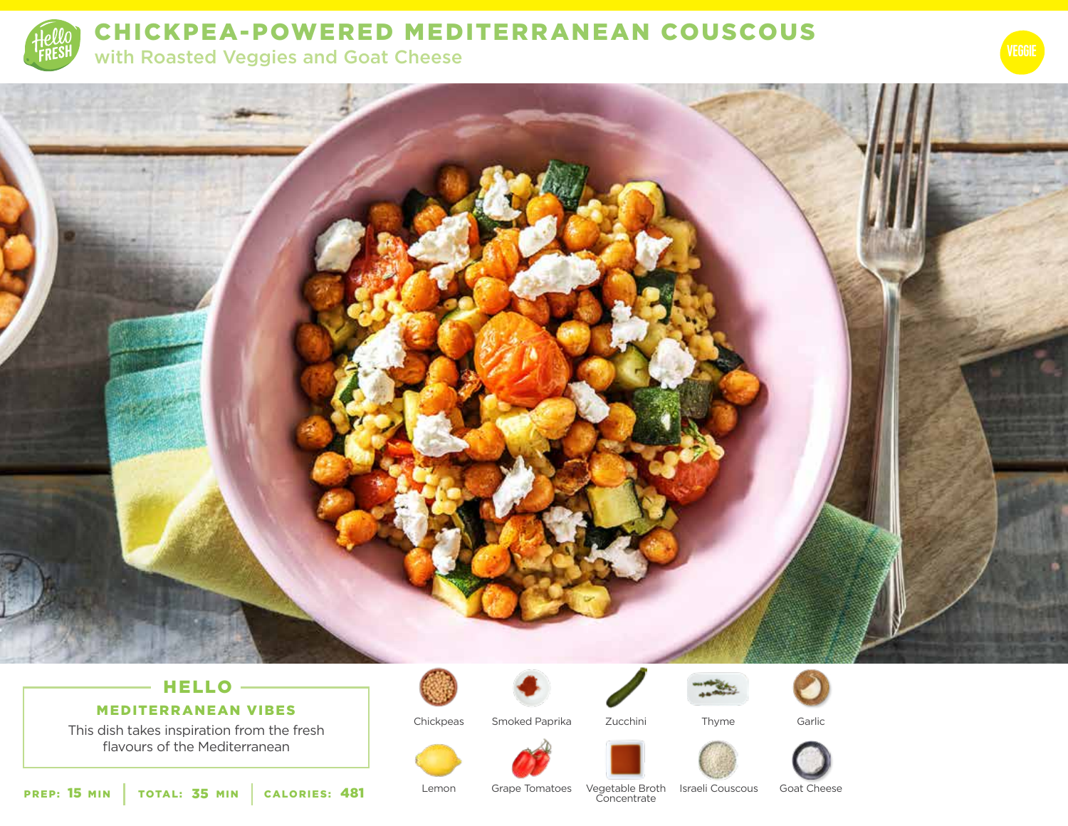

# CHICKPEA-POWERED MEDITERRANEAN COUSCOUS

with Roasted Veggies and Goat Cheese



### HELLO -

MEDITERRANEAN VIBES

This dish takes inspiration from the fresh flavours of the Mediterranean



Chickpeas



Smoked Paprika Zucchini Thyme





Garlic



**PREP: 15 MIN** | TOTAL: 35 MIN PREP: 15 MIN | TOTAL: 35 MIN | CALORIES: 481 Lemon Grape Tomatoes Vegetable Broth Israeli Couscous Goat Cheese

Lemon